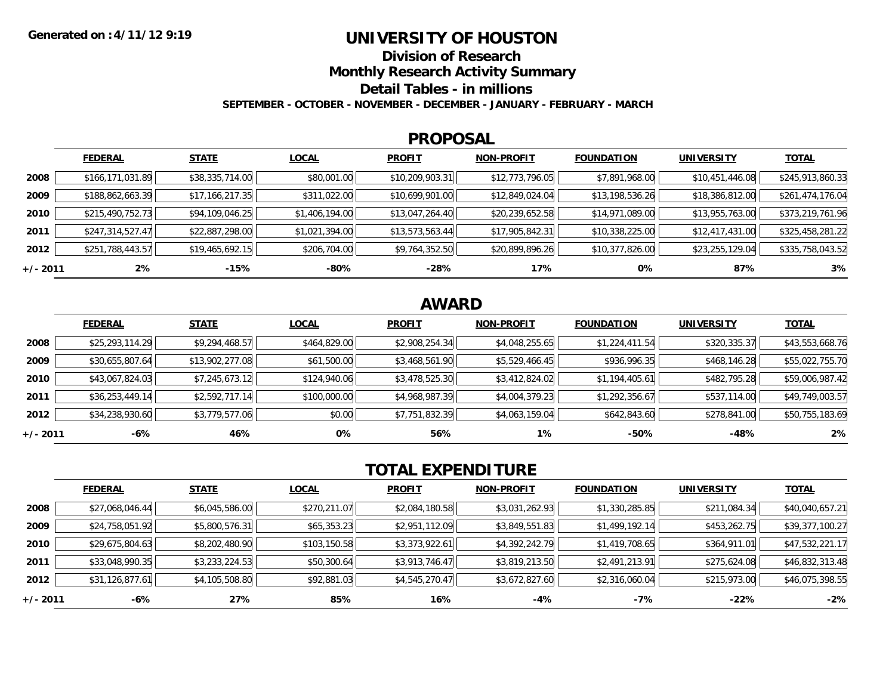## **UNIVERSITY OF HOUSTON**

**Division of Research**

**Monthly Research Activity Summary**

**Detail Tables - in millions**

**SEPTEMBER - OCTOBER - NOVEMBER - DECEMBER - JANUARY - FEBRUARY - MARCH**

#### **PROPOSAL**

|            | <b>FEDERAL</b>   | <b>STATE</b>    | <b>LOCAL</b>   | <b>PROFIT</b>   | <b>NON-PROFIT</b> | <b>FOUNDATION</b> | <b>UNIVERSITY</b> | <b>TOTAL</b>     |
|------------|------------------|-----------------|----------------|-----------------|-------------------|-------------------|-------------------|------------------|
| 2008       | \$166,171,031.89 | \$38,335,714.00 | \$80,001.00    | \$10,209,903.31 | \$12,773,796.05   | \$7,891,968.00    | \$10,451,446.08   | \$245,913,860.33 |
| 2009       | \$188,862,663.39 | \$17,166,217.35 | \$311,022.00   | \$10,699,901.00 | \$12,849,024.04   | \$13,198,536.26   | \$18,386,812.00   | \$261,474,176.04 |
| 2010       | \$215,490,752.73 | \$94,109,046.25 | \$1,406,194.00 | \$13,047,264.40 | \$20,239,652.58   | \$14,971,089.00   | \$13,955,763.00   | \$373,219,761.96 |
| 2011       | \$247,314,527.47 | \$22,887,298.00 | \$1,021,394.00 | \$13,573,563.44 | \$17,905,842.31   | \$10,338,225.00   | \$12,417,431.00   | \$325,458,281.22 |
| 2012       | \$251,788,443.57 | \$19,465,692.15 | \$206,704.00   | \$9,764,352.50  | \$20,899,896.26   | \$10,377,826.00   | \$23,255,129.04   | \$335,758,043.52 |
| $+/- 2011$ | $2\%$            | -15%            | -80%           | -28%            | 17%               | 0%                | 87%               | 3%               |

# **AWARD**

|          | <b>FEDERAL</b>  | <b>STATE</b>    | <b>LOCAL</b> | <b>PROFIT</b>  | <b>NON-PROFIT</b> | <b>FOUNDATION</b> | <b>UNIVERSITY</b> | <b>TOTAL</b>    |
|----------|-----------------|-----------------|--------------|----------------|-------------------|-------------------|-------------------|-----------------|
| 2008     | \$25,293,114.29 | \$9,294,468.57  | \$464,829.00 | \$2,908,254.34 | \$4,048,255.65    | \$1,224,411.54    | \$320,335.37      | \$43,553,668.76 |
| 2009     | \$30,655,807.64 | \$13,902,277.08 | \$61,500.00  | \$3,468,561.90 | \$5,529,466.45    | \$936,996.35      | \$468,146.28      | \$55,022,755.70 |
| 2010     | \$43,067,824.03 | \$7,245,673.12  | \$124,940.06 | \$3,478,525.30 | \$3,412,824.02    | \$1,194,405.61    | \$482,795.28      | \$59,006,987.42 |
| 2011     | \$36,253,449.14 | \$2,592,717.14  | \$100,000.00 | \$4,968,987.39 | \$4,004,379.23    | \$1,292,356.67    | \$537,114.00      | \$49,749,003.57 |
| 2012     | \$34,238,930.60 | \$3,779,577.06  | \$0.00       | \$7,751,832.39 | \$4,063,159.04    | \$642,843.60      | \$278,841.00      | \$50,755,183.69 |
| +/- 2011 | -6%             | 46%             | 0%           | 56%            | $1\%$             | -50%              | $-48%$            | 2%              |

# **TOTAL EXPENDITURE**

|          | <b>FEDERAL</b>  | <b>STATE</b>   | <b>LOCAL</b> | <b>PROFIT</b>  | <b>NON-PROFIT</b> | <b>FOUNDATION</b> | <b>UNIVERSITY</b> | <b>TOTAL</b>    |
|----------|-----------------|----------------|--------------|----------------|-------------------|-------------------|-------------------|-----------------|
| 2008     | \$27,068,046.44 | \$6,045,586.00 | \$270,211.07 | \$2,084,180.58 | \$3,031,262.93    | \$1,330,285.85    | \$211,084.34      | \$40,040,657.21 |
| 2009     | \$24,758,051.92 | \$5,800,576.31 | \$65,353.23  | \$2,951,112.09 | \$3,849,551.83    | \$1,499,192.14    | \$453,262.75      | \$39,377,100.27 |
| 2010     | \$29,675,804.63 | \$8,202,480.90 | \$103,150.58 | \$3,373,922.61 | \$4,392,242.79    | \$1,419,708.65    | \$364,911.01      | \$47,532,221.17 |
| 2011     | \$33,048,990.35 | \$3,233,224.53 | \$50,300.64  | \$3,913,746.47 | \$3,819,213.50    | \$2,491,213.91    | \$275,624.08      | \$46,832,313.48 |
| 2012     | \$31,126,877.61 | \$4,105,508.80 | \$92,881.03  | \$4,545,270.47 | \$3,672,827.60    | \$2,316,060.04    | \$215,973.00      | \$46,075,398.55 |
| +/- 2011 | -6%             | 27%            | 85%          | 16%            | $-4%$             | $-7%$             | -22%              | $-2%$           |